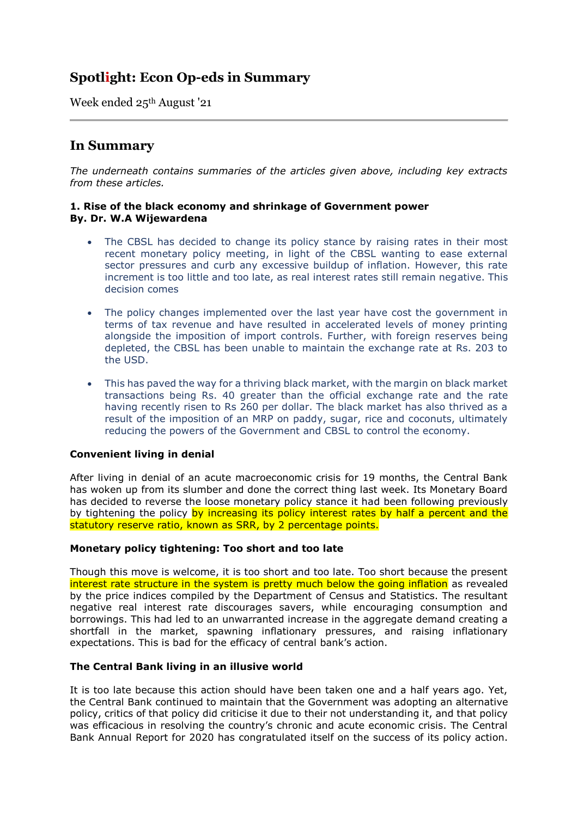# **Spotlight: Econ Op-eds in Summary**

Week ended 25th August '21

## **In Summary**

*The underneath contains summaries of the articles given above, including key extracts from these articles.*

## **1. Rise of the black economy and shrinkage of Government power By. Dr. W.A Wijewardena**

- The CBSL has decided to change its policy stance by raising rates in their most recent monetary policy meeting, in light of the CBSL wanting to ease external sector pressures and curb any excessive buildup of inflation. However, this rate increment is too little and too late, as real interest rates still remain negative. This decision comes
- The policy changes implemented over the last year have cost the government in terms of tax revenue and have resulted in accelerated levels of money printing alongside the imposition of import controls. Further, with foreign reserves being depleted, the CBSL has been unable to maintain the exchange rate at Rs. 203 to the USD.
- This has paved the way for a thriving black market, with the margin on black market transactions being Rs. 40 greater than the official exchange rate and the rate having recently risen to Rs 260 per dollar. The black market has also thrived as a result of the imposition of an MRP on paddy, sugar, rice and coconuts, ultimately reducing the powers of the Government and CBSL to control the economy.

## **Convenient living in denial**

After living in denial of an acute macroeconomic crisis for 19 months, the Central Bank has woken up from its slumber and done the correct thing last week. Its Monetary Board has decided to reverse the loose monetary policy stance it had been following previously by tightening the policy by increasing its policy interest rates by half a percent and the statutory reserve ratio, known as SRR, by 2 percentage points.

## **Monetary policy tightening: Too short and too late**

Though this move is welcome, it is too short and too late. Too short because the present interest rate structure in the system is pretty much below the going inflation as revealed by the price indices compiled by the Department of Census and Statistics. The resultant negative real interest rate discourages savers, while encouraging consumption and borrowings. This had led to an unwarranted increase in the aggregate demand creating a shortfall in the market, spawning inflationary pressures, and raising inflationary expectations. This is bad for the efficacy of central bank's action.

## **The Central Bank living in an illusive world**

It is too late because this action should have been taken one and a half years ago. Yet, the Central Bank continued to maintain that the Government was adopting an alternative policy, critics of that policy did criticise it due to their not understanding it, and that policy was efficacious in resolving the country's chronic and acute economic crisis. The Central Bank Annual Report for 2020 has congratulated itself on the success of its policy action.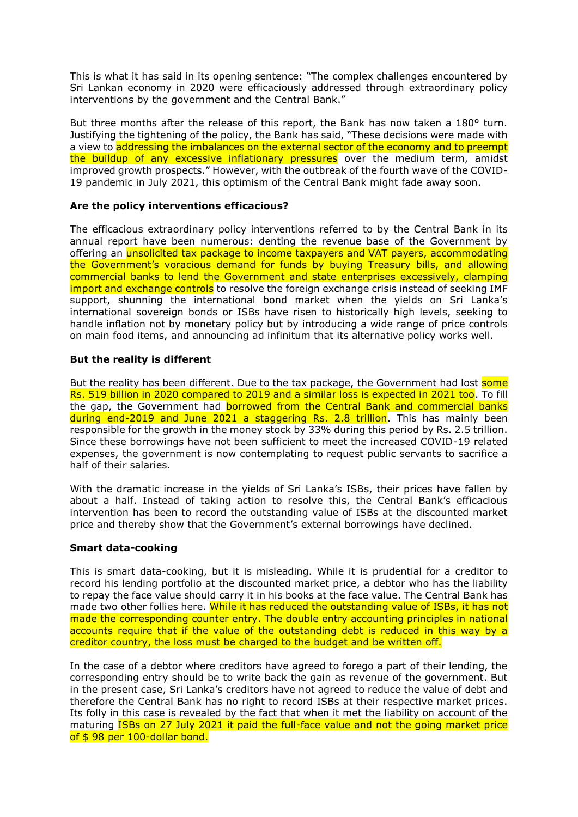This is what it has said in its opening sentence: "The complex challenges encountered by Sri Lankan economy in 2020 were efficaciously addressed through extraordinary policy interventions by the government and the Central Bank."

But three months after the release of this report, the Bank has now taken a 180° turn. Justifying the tightening of the policy, the Bank has said, "These decisions were made with a view to addressing the imbalances on the external sector of the economy and to preempt the buildup of any excessive inflationary pressures over the medium term, amidst improved growth prospects." However, with the outbreak of the fourth wave of the COVID-19 pandemic in July 2021, this optimism of the Central Bank might fade away soon.

## **Are the policy interventions efficacious?**

The efficacious extraordinary policy interventions referred to by the Central Bank in its annual report have been numerous: denting the revenue base of the Government by offering an unsolicited tax package to income taxpayers and VAT payers, accommodating the Government's voracious demand for funds by buying Treasury bills, and allowing commercial banks to lend the Government and state enterprises excessively, clamping import and exchange controls to resolve the foreign exchange crisis instead of seeking IMF support, shunning the international bond market when the yields on Sri Lanka's international sovereign bonds or ISBs have risen to historically high levels, seeking to handle inflation not by monetary policy but by introducing a wide range of price controls on main food items, and announcing ad infinitum that its alternative policy works well.

## **But the reality is different**

But the reality has been different. Due to the tax package, the Government had lost some Rs. 519 billion in 2020 compared to 2019 and a similar loss is expected in 2021 too. To fill the gap, the Government had borrowed from the Central Bank and commercial banks during end-2019 and June 2021 a staggering Rs. 2.8 trillion. This has mainly been responsible for the growth in the money stock by 33% during this period by Rs. 2.5 trillion. Since these borrowings have not been sufficient to meet the increased COVID-19 related expenses, the government is now contemplating to request public servants to sacrifice a half of their salaries.

With the dramatic increase in the yields of Sri Lanka's ISBs, their prices have fallen by about a half. Instead of taking action to resolve this, the Central Bank's efficacious intervention has been to record the outstanding value of ISBs at the discounted market price and thereby show that the Government's external borrowings have declined.

## **Smart data-cooking**

This is smart data-cooking, but it is misleading. While it is prudential for a creditor to record his lending portfolio at the discounted market price, a debtor who has the liability to repay the face value should carry it in his books at the face value. The Central Bank has made two other follies here. While it has reduced the outstanding value of ISBs, it has not made the corresponding counter entry. The double entry accounting principles in national accounts require that if the value of the outstanding debt is reduced in this way by a creditor country, the loss must be charged to the budget and be written off.

In the case of a debtor where creditors have agreed to forego a part of their lending, the corresponding entry should be to write back the gain as revenue of the government. But in the present case, Sri Lanka's creditors have not agreed to reduce the value of debt and therefore the Central Bank has no right to record ISBs at their respective market prices. Its folly in this case is revealed by the fact that when it met the liability on account of the maturing ISBs on 27 July 2021 it paid the full-face value and not the going market price of \$98 per 100-dollar bond.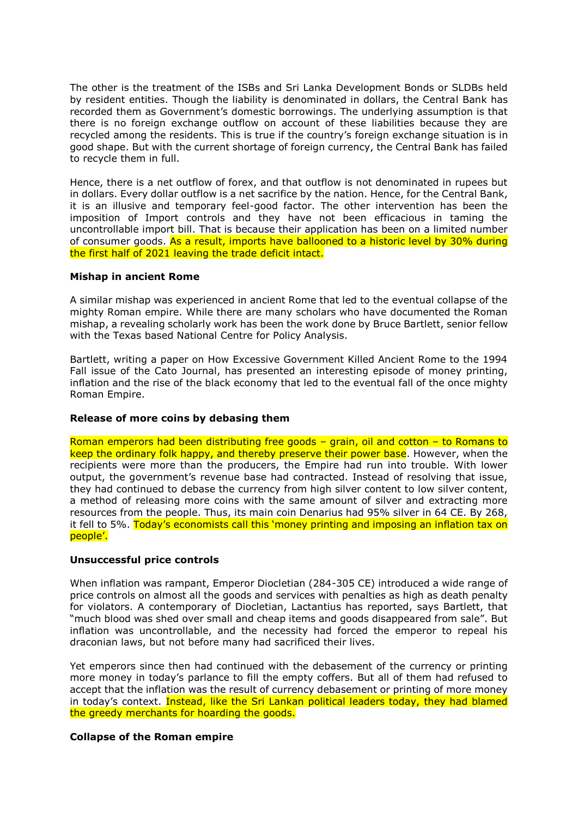The other is the treatment of the ISBs and Sri Lanka Development Bonds or SLDBs held by resident entities. Though the liability is denominated in dollars, the Central Bank has recorded them as Government's domestic borrowings. The underlying assumption is that there is no foreign exchange outflow on account of these liabilities because they are recycled among the residents. This is true if the country's foreign exchange situation is in good shape. But with the current shortage of foreign currency, the Central Bank has failed to recycle them in full.

Hence, there is a net outflow of forex, and that outflow is not denominated in rupees but in dollars. Every dollar outflow is a net sacrifice by the nation. Hence, for the Central Bank, it is an illusive and temporary feel-good factor. The other intervention has been the imposition of Import controls and they have not been efficacious in taming the uncontrollable import bill. That is because their application has been on a limited number of consumer goods. As a result, imports have ballooned to a historic level by 30% during the first half of 2021 leaving the trade deficit intact.

## **Mishap in ancient Rome**

A similar mishap was experienced in ancient Rome that led to the eventual collapse of the mighty Roman empire. While there are many scholars who have documented the Roman mishap, a revealing scholarly work has been the work done by Bruce Bartlett, senior fellow with the Texas based National Centre for Policy Analysis.

Bartlett, writing a paper on How Excessive Government Killed Ancient Rome to the 1994 Fall issue of the Cato Journal, has presented an interesting episode of money printing, inflation and the rise of the black economy that led to the eventual fall of the once mighty Roman Empire.

## **Release of more coins by debasing them**

Roman emperors had been distributing free goods – grain, oil and cotton – to Romans to keep the ordinary folk happy, and thereby preserve their power base. However, when the recipients were more than the producers, the Empire had run into trouble. With lower output, the government's revenue base had contracted. Instead of resolving that issue, they had continued to debase the currency from high silver content to low silver content, a method of releasing more coins with the same amount of silver and extracting more resources from the people. Thus, its main coin Denarius had 95% silver in 64 CE. By 268, it fell to 5%. Today's economists call this 'money printing and imposing an inflation tax on people'.

## **Unsuccessful price controls**

When inflation was rampant, Emperor Diocletian (284-305 CE) introduced a wide range of price controls on almost all the goods and services with penalties as high as death penalty for violators. A contemporary of Diocletian, Lactantius has reported, says Bartlett, that "much blood was shed over small and cheap items and goods disappeared from sale". But inflation was uncontrollable, and the necessity had forced the emperor to repeal his draconian laws, but not before many had sacrificed their lives.

Yet emperors since then had continued with the debasement of the currency or printing more money in today's parlance to fill the empty coffers. But all of them had refused to accept that the inflation was the result of currency debasement or printing of more money in today's context. Instead, like the Sri Lankan political leaders today, they had blamed the greedy merchants for hoarding the goods.

#### **Collapse of the Roman empire**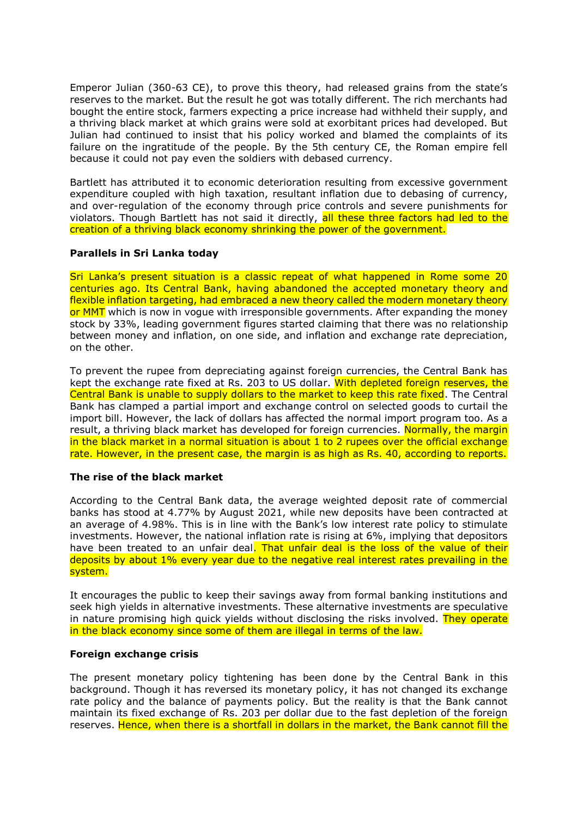Emperor Julian (360-63 CE), to prove this theory, had released grains from the state's reserves to the market. But the result he got was totally different. The rich merchants had bought the entire stock, farmers expecting a price increase had withheld their supply, and a thriving black market at which grains were sold at exorbitant prices had developed. But Julian had continued to insist that his policy worked and blamed the complaints of its failure on the ingratitude of the people. By the 5th century CE, the Roman empire fell because it could not pay even the soldiers with debased currency.

Bartlett has attributed it to economic deterioration resulting from excessive government expenditure coupled with high taxation, resultant inflation due to debasing of currency, and over-regulation of the economy through price controls and severe punishments for violators. Though Bartlett has not said it directly, all these three factors had led to the creation of a thriving black economy shrinking the power of the government.

## **Parallels in Sri Lanka today**

Sri Lanka's present situation is a classic repeat of what happened in Rome some 20 centuries ago. Its Central Bank, having abandoned the accepted monetary theory and flexible inflation targeting, had embraced a new theory called the modern monetary theory or MMT which is now in vogue with irresponsible governments. After expanding the money stock by 33%, leading government figures started claiming that there was no relationship between money and inflation, on one side, and inflation and exchange rate depreciation, on the other.

To prevent the rupee from depreciating against foreign currencies, the Central Bank has kept the exchange rate fixed at Rs. 203 to US dollar. With depleted foreign reserves, the Central Bank is unable to supply dollars to the market to keep this rate fixed. The Central Bank has clamped a partial import and exchange control on selected goods to curtail the import bill. However, the lack of dollars has affected the normal import program too. As a result, a thriving black market has developed for foreign currencies. Normally, the margin in the black market in a normal situation is about 1 to 2 rupees over the official exchange rate. However, in the present case, the margin is as high as Rs. 40, according to reports.

#### **The rise of the black market**

According to the Central Bank data, the average weighted deposit rate of commercial banks has stood at 4.77% by August 2021, while new deposits have been contracted at an average of 4.98%. This is in line with the Bank's low interest rate policy to stimulate investments. However, the national inflation rate is rising at 6%, implying that depositors have been treated to an unfair deal. That unfair deal is the loss of the value of their deposits by about 1% every year due to the negative real interest rates prevailing in the system.

It encourages the public to keep their savings away from formal banking institutions and seek high yields in alternative investments. These alternative investments are speculative in nature promising high quick yields without disclosing the risks involved. They operate in the black economy since some of them are illegal in terms of the law.

### **Foreign exchange crisis**

The present monetary policy tightening has been done by the Central Bank in this background. Though it has reversed its monetary policy, it has not changed its exchange rate policy and the balance of payments policy. But the reality is that the Bank cannot maintain its fixed exchange of Rs. 203 per dollar due to the fast depletion of the foreign reserves. Hence, when there is a shortfall in dollars in the market, the Bank cannot fill the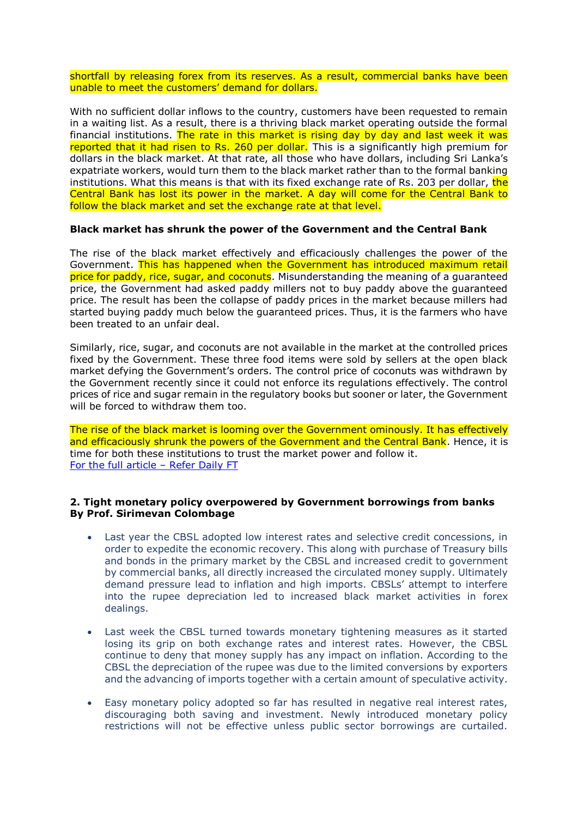shortfall by releasing forex from its reserves. As a result, commercial banks have been unable to meet the customers' demand for dollars.

With no sufficient dollar inflows to the country, customers have been requested to remain in a waiting list. As a result, there is a thriving black market operating outside the formal financial institutions. The rate in this market is rising day by day and last week it was reported that it had risen to Rs. 260 per dollar. This is a significantly high premium for dollars in the black market. At that rate, all those who have dollars, including Sri Lanka's expatriate workers, would turn them to the black market rather than to the formal banking institutions. What this means is that with its fixed exchange rate of Rs. 203 per dollar, the Central Bank has lost its power in the market. A day will come for the Central Bank to follow the black market and set the exchange rate at that level.

## **Black market has shrunk the power of the Government and the Central Bank**

The rise of the black market effectively and efficaciously challenges the power of the Government. This has happened when the Government has introduced maximum retail price for paddy, rice, sugar, and coconuts. Misunderstanding the meaning of a quaranteed price, the Government had asked paddy millers not to buy paddy above the guaranteed price. The result has been the collapse of paddy prices in the market because millers had started buying paddy much below the guaranteed prices. Thus, it is the farmers who have been treated to an unfair deal.

Similarly, rice, sugar, and coconuts are not available in the market at the controlled prices fixed by the Government. These three food items were sold by sellers at the open black market defying the Government's orders. The control price of coconuts was withdrawn by the Government recently since it could not enforce its regulations effectively. The control prices of rice and sugar remain in the regulatory books but sooner or later, the Government will be forced to withdraw them too.

The rise of the black market is looming over the Government ominously. It has effectively and efficaciously shrunk the powers of the Government and the Central Bank. Hence, it is time for both these institutions to trust the market power and follow it. [For the full article](https://www.ft.lk/columns/Rise-of-the-black-economy-and-shrinkage-of-Government-power/4-722038) – Refer Daily FT

#### **2. Tight monetary policy overpowered by Government borrowings from banks By Prof. Sirimevan Colombage**

- Last year the CBSL adopted low interest rates and selective credit concessions, in order to expedite the economic recovery. This along with purchase of Treasury bills and bonds in the primary market by the CBSL and increased credit to government by commercial banks, all directly increased the circulated money supply. Ultimately demand pressure lead to inflation and high imports. CBSLs' attempt to interfere into the rupee depreciation led to increased black market activities in forex dealings.
- Last week the CBSL turned towards monetary tightening measures as it started losing its grip on both exchange rates and interest rates. However, the CBSL continue to deny that money supply has any impact on inflation. According to the CBSL the depreciation of the rupee was due to the limited conversions by exporters and the advancing of imports together with a certain amount of speculative activity.
- Easy monetary policy adopted so far has resulted in negative real interest rates, discouraging both saving and investment. Newly introduced monetary policy restrictions will not be effective unless public sector borrowings are curtailed.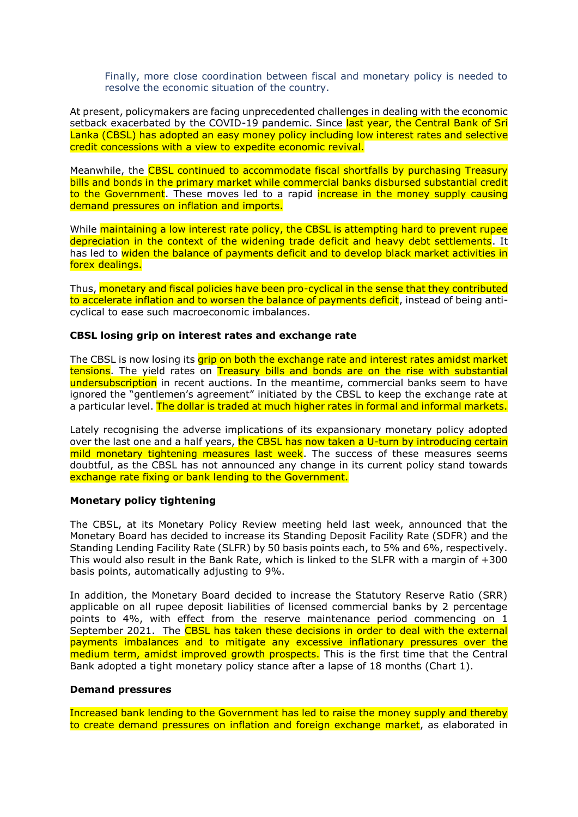Finally, more close coordination between fiscal and monetary policy is needed to resolve the economic situation of the country.

At present, policymakers are facing unprecedented challenges in dealing with the economic setback exacerbated by the COVID-19 pandemic. Since last year, the Central Bank of Sri Lanka (CBSL) has adopted an easy money policy including low interest rates and selective credit concessions with a view to expedite economic revival.

Meanwhile, the CBSL continued to accommodate fiscal shortfalls by purchasing Treasury bills and bonds in the primary market while commercial banks disbursed substantial credit to the Government. These moves led to a rapid increase in the money supply causing demand pressures on inflation and imports.

While maintaining a low interest rate policy, the CBSL is attempting hard to prevent rupee depreciation in the context of the widening trade deficit and heavy debt settlements. It has led to widen the balance of payments deficit and to develop black market activities in forex dealings.

Thus, monetary and fiscal policies have been pro-cyclical in the sense that they contributed to accelerate inflation and to worsen the balance of payments deficit, instead of being anticyclical to ease such macroeconomic imbalances.

## **CBSL losing grip on interest rates and exchange rate**

The CBSL is now losing its grip on both the exchange rate and interest rates amidst market tensions. The yield rates on Treasury bills and bonds are on the rise with substantial undersubscription in recent auctions. In the meantime, commercial banks seem to have ignored the "gentlemen's agreement" initiated by the CBSL to keep the exchange rate at a particular level. The dollar is traded at much higher rates in formal and informal markets.

Lately recognising the adverse implications of its expansionary monetary policy adopted over the last one and a half years, the CBSL has now taken a U-turn by introducing certain mild monetary tightening measures last week. The success of these measures seems doubtful, as the CBSL has not announced any change in its current policy stand towards exchange rate fixing or bank lending to the Government.

## **Monetary policy tightening**

The CBSL, at its Monetary Policy Review meeting held last week, announced that the Monetary Board has decided to increase its Standing Deposit Facility Rate (SDFR) and the Standing Lending Facility Rate (SLFR) by 50 basis points each, to 5% and 6%, respectively. This would also result in the Bank Rate, which is linked to the SLFR with a margin of +300 basis points, automatically adjusting to 9%.

In addition, the Monetary Board decided to increase the Statutory Reserve Ratio (SRR) applicable on all rupee deposit liabilities of licensed commercial banks by 2 percentage points to 4%, with effect from the reserve maintenance period commencing on 1 September 2021. The CBSL has taken these decisions in order to deal with the external payments imbalances and to mitigate any excessive inflationary pressures over the medium term, amidst improved growth prospects. This is the first time that the Central Bank adopted a tight monetary policy stance after a lapse of 18 months (Chart 1).

#### **Demand pressures**

Increased bank lending to the Government has led to raise the money supply and thereby to create demand pressures on inflation and foreign exchange market, as elaborated in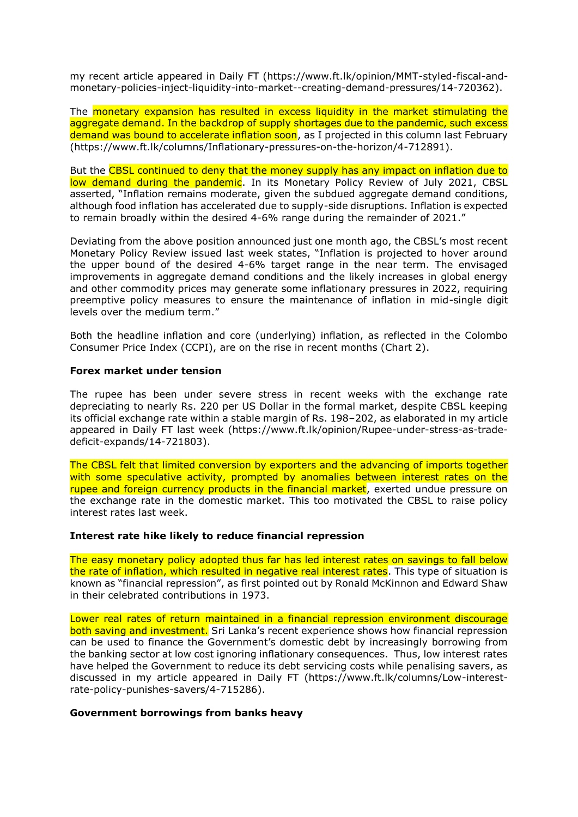my recent article appeared in Daily FT (https://www.ft.lk/opinion/MMT-styled-fiscal-andmonetary-policies-inject-liquidity-into-market--creating-demand-pressures/14-720362).

The monetary expansion has resulted in excess liquidity in the market stimulating the aggregate demand. In the backdrop of supply shortages due to the pandemic, such excess demand was bound to accelerate inflation soon, as I projected in this column last February (https://www.ft.lk/columns/Inflationary-pressures-on-the-horizon/4-712891).

But the CBSL continued to deny that the money supply has any impact on inflation due to low demand during the pandemic. In its Monetary Policy Review of July 2021, CBSL asserted, "Inflation remains moderate, given the subdued aggregate demand conditions, although food inflation has accelerated due to supply-side disruptions. Inflation is expected to remain broadly within the desired 4-6% range during the remainder of 2021."

Deviating from the above position announced just one month ago, the CBSL's most recent Monetary Policy Review issued last week states, "Inflation is projected to hover around the upper bound of the desired 4-6% target range in the near term. The envisaged improvements in aggregate demand conditions and the likely increases in global energy and other commodity prices may generate some inflationary pressures in 2022, requiring preemptive policy measures to ensure the maintenance of inflation in mid-single digit levels over the medium term."

Both the headline inflation and core (underlying) inflation, as reflected in the Colombo Consumer Price Index (CCPI), are on the rise in recent months (Chart 2).

## **Forex market under tension**

The rupee has been under severe stress in recent weeks with the exchange rate depreciating to nearly Rs. 220 per US Dollar in the formal market, despite CBSL keeping its official exchange rate within a stable margin of Rs. 198–202, as elaborated in my article appeared in Daily FT last week (https://www.ft.lk/opinion/Rupee-under-stress-as-tradedeficit-expands/14-721803).

The CBSL felt that limited conversion by exporters and the advancing of imports together with some speculative activity, prompted by anomalies between interest rates on the rupee and foreign currency products in the financial market, exerted undue pressure on the exchange rate in the domestic market. This too motivated the CBSL to raise policy interest rates last week.

#### **Interest rate hike likely to reduce financial repression**

The easy monetary policy adopted thus far has led interest rates on savings to fall below the rate of inflation, which resulted in negative real interest rates. This type of situation is known as "financial repression", as first pointed out by Ronald McKinnon and Edward Shaw in their celebrated contributions in 1973.

Lower real rates of return maintained in a financial repression environment discourage both saving and investment. Sri Lanka's recent experience shows how financial repression can be used to finance the Government's domestic debt by increasingly borrowing from the banking sector at low cost ignoring inflationary consequences. Thus, low interest rates have helped the Government to reduce its debt servicing costs while penalising savers, as discussed in my article appeared in Daily FT (https://www.ft.lk/columns/Low-interestrate-policy-punishes-savers/4-715286).

## **Government borrowings from banks heavy**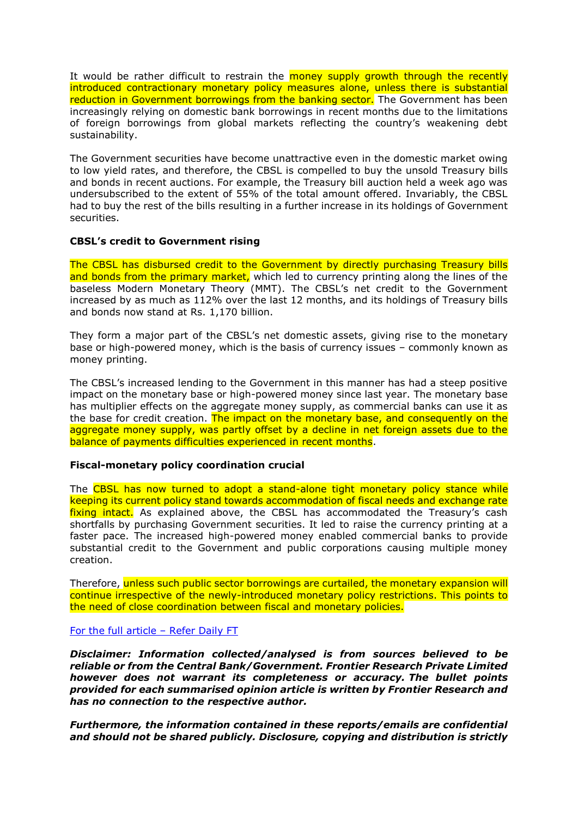It would be rather difficult to restrain the **money supply growth through the recently** introduced contractionary monetary policy measures alone, unless there is substantial reduction in Government borrowings from the banking sector. The Government has been increasingly relying on domestic bank borrowings in recent months due to the limitations of foreign borrowings from global markets reflecting the country's weakening debt sustainability.

The Government securities have become unattractive even in the domestic market owing to low yield rates, and therefore, the CBSL is compelled to buy the unsold Treasury bills and bonds in recent auctions. For example, the Treasury bill auction held a week ago was undersubscribed to the extent of 55% of the total amount offered. Invariably, the CBSL had to buy the rest of the bills resulting in a further increase in its holdings of Government securities.

## **CBSL's credit to Government rising**

The CBSL has disbursed credit to the Government by directly purchasing Treasury bills and bonds from the primary market, which led to currency printing along the lines of the baseless Modern Monetary Theory (MMT). The CBSL's net credit to the Government increased by as much as 112% over the last 12 months, and its holdings of Treasury bills and bonds now stand at Rs. 1,170 billion.

They form a major part of the CBSL's net domestic assets, giving rise to the monetary base or high-powered money, which is the basis of currency issues – commonly known as money printing.

The CBSL's increased lending to the Government in this manner has had a steep positive impact on the monetary base or high-powered money since last year. The monetary base has multiplier effects on the aggregate money supply, as commercial banks can use it as the base for credit creation. The impact on the monetary base, and consequently on the aggregate money supply, was partly offset by a decline in net foreign assets due to the balance of payments difficulties experienced in recent months.

#### **Fiscal-monetary policy coordination crucial**

The CBSL has now turned to adopt a stand-alone tight monetary policy stance while keeping its current policy stand towards accommodation of fiscal needs and exchange rate fixing intact. As explained above, the CBSL has accommodated the Treasury's cash shortfalls by purchasing Government securities. It led to raise the currency printing at a faster pace. The increased high-powered money enabled commercial banks to provide substantial credit to the Government and public corporations causing multiple money creation.

Therefore, unless such public sector borrowings are curtailed, the monetary expansion will continue irrespective of the newly-introduced monetary policy restrictions. This points to the need of close coordination between fiscal and monetary policies.

#### [For the full article](https://www.ft.lk/columns/Tight-monetary-policy-overpowered-by-Government-borrowings-from-banks/4-722117) – Refer Daily FT

*Disclaimer: Information collected/analysed is from sources believed to be reliable or from the Central Bank/Government. Frontier Research Private Limited however does not warrant its completeness or accuracy. The bullet points provided for each summarised opinion article is written by Frontier Research and has no connection to the respective author.*

*Furthermore, the information contained in these reports/emails are confidential and should not be shared publicly. Disclosure, copying and distribution is strictly*